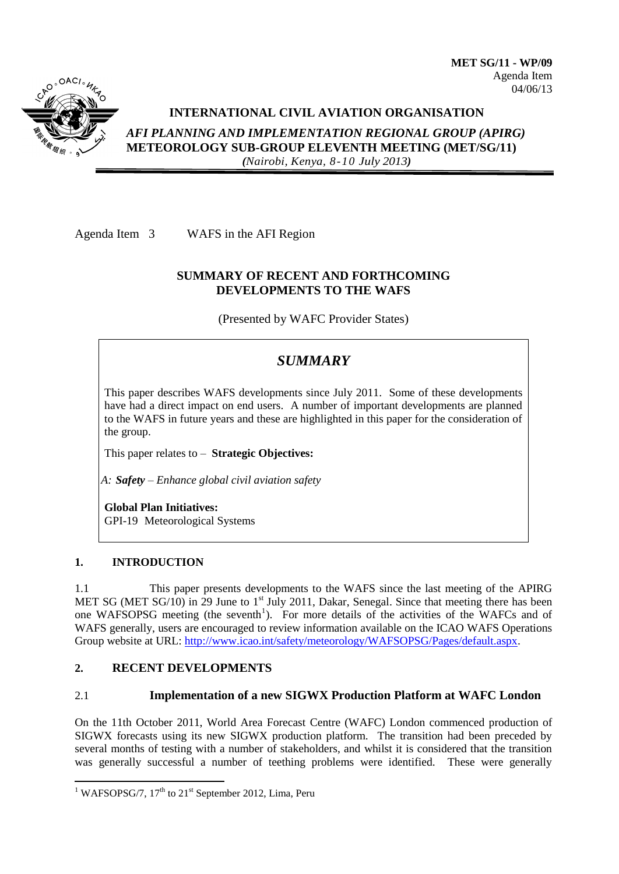

## **INTERNATIONAL CIVIL AVIATION ORGANISATION**

*AFI PLANNING AND IMPLEMENTATION REGIONAL GROUP (APIRG)* **METEOROLOGY SUB-GROUP ELEVENTH MEETING (MET/SG/11)**  *(Nairobi, Kenya, 8-10 July 2013)*

Agenda Item 3 WAFS in the AFI Region

## **SUMMARY OF RECENT AND FORTHCOMING DEVELOPMENTS TO THE WAFS**

(Presented by WAFC Provider States)

# *SUMMARY*

This paper describes WAFS developments since July 2011. Some of these developments have had a direct impact on end users. A number of important developments are planned to the WAFS in future years and these are highlighted in this paper for the consideration of the group.

This paper relates to – **Strategic Objectives:**

*A: Safety – Enhance global civil aviation safety*

**Global Plan Initiatives:** GPI-19 Meteorological Systems

## **1. INTRODUCTION**

1

1.1 This paper presents developments to the WAFS since the last meeting of the APIRG MET SG (MET SG/10) in 29 June to 1<sup>st</sup> July 2011, Dakar, Senegal. Since that meeting there has been one WAFSOPSG meeting (the seventh<sup>1</sup>). For more details of the activities of the WAFCs and of WAFS generally, users are encouraged to review information available on the ICAO WAFS Operations Group website at URL: [http://www.icao.int/safety/meteorology/WAFSOPSG/Pages/default.aspx.](http://www.icao.int/safety/meteorology/WAFSOPSG/Pages/default.aspx)

# **2. RECENT DEVELOPMENTS**

## 2.1 **Implementation of a new SIGWX Production Platform at WAFC London**

On the 11th October 2011, World Area Forecast Centre (WAFC) London commenced production of SIGWX forecasts using its new SIGWX production platform. The transition had been preceded by several months of testing with a number of stakeholders, and whilst it is considered that the transition was generally successful a number of teething problems were identified. These were generally

<sup>&</sup>lt;sup>1</sup> WAFSOPSG/7,  $17<sup>th</sup>$  to  $21<sup>st</sup>$  September 2012, Lima, Peru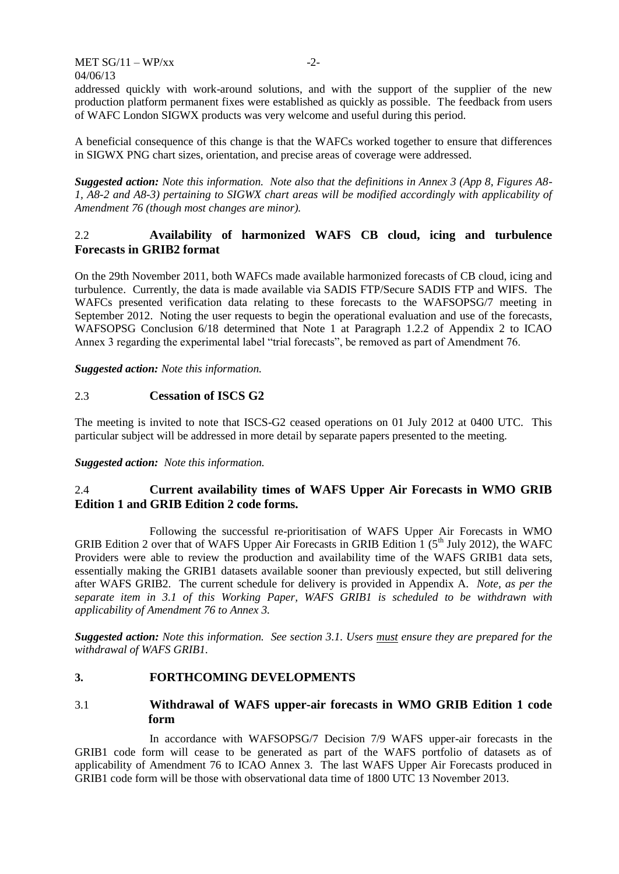addressed quickly with work-around solutions, and with the support of the supplier of the new production platform permanent fixes were established as quickly as possible. The feedback from users of WAFC London SIGWX products was very welcome and useful during this period.

A beneficial consequence of this change is that the WAFCs worked together to ensure that differences in SIGWX PNG chart sizes, orientation, and precise areas of coverage were addressed.

*Suggested action: Note this information. Note also that the definitions in Annex 3 (App 8, Figures A8- 1, A8-2 and A8-3) pertaining to SIGWX chart areas will be modified accordingly with applicability of Amendment 76 (though most changes are minor).*

## 2.2 **Availability of harmonized WAFS CB cloud, icing and turbulence Forecasts in GRIB2 format**

On the 29th November 2011, both WAFCs made available harmonized forecasts of CB cloud, icing and turbulence. Currently, the data is made available via SADIS FTP/Secure SADIS FTP and WIFS. The WAFCs presented verification data relating to these forecasts to the WAFSOPSG/7 meeting in September 2012. Noting the user requests to begin the operational evaluation and use of the forecasts, WAFSOPSG Conclusion 6/18 determined that Note 1 at Paragraph 1.2.2 of Appendix 2 to ICAO Annex 3 regarding the experimental label "trial forecasts", be removed as part of Amendment 76.

*Suggested action: Note this information.*

## 2.3 **Cessation of ISCS G2**

The meeting is invited to note that ISCS-G2 ceased operations on 01 July 2012 at 0400 UTC. This particular subject will be addressed in more detail by separate papers presented to the meeting.

#### *Suggested action: Note this information.*

## 2.4 **Current availability times of WAFS Upper Air Forecasts in WMO GRIB Edition 1 and GRIB Edition 2 code forms.**

Following the successful re-prioritisation of WAFS Upper Air Forecasts in WMO GRIB Edition 2 over that of WAFS Upper Air Forecasts in GRIB Edition 1 ( $5<sup>th</sup>$  July 2012), the WAFC Providers were able to review the production and availability time of the WAFS GRIB1 data sets, essentially making the GRIB1 datasets available sooner than previously expected, but still delivering after WAFS GRIB2. The current schedule for delivery is provided in Appendix A. *Note, as per the separate item in [3.1](#page-1-0) of this Working Paper, WAFS GRIB1 is scheduled to be withdrawn with applicability of Amendment 76 to Annex 3.*

*Suggested action: Note this information. See section [3.1.](#page-1-0) Users must ensure they are prepared for the withdrawal of WAFS GRIB1.*

## **3. FORTHCOMING DEVELOPMENTS**

## <span id="page-1-0"></span>3.1 **Withdrawal of WAFS upper-air forecasts in WMO GRIB Edition 1 code form**

In accordance with WAFSOPSG/7 Decision 7/9 WAFS upper-air forecasts in the GRIB1 code form will cease to be generated as part of the WAFS portfolio of datasets as of applicability of Amendment 76 to ICAO Annex 3. The last WAFS Upper Air Forecasts produced in GRIB1 code form will be those with observational data time of 1800 UTC 13 November 2013.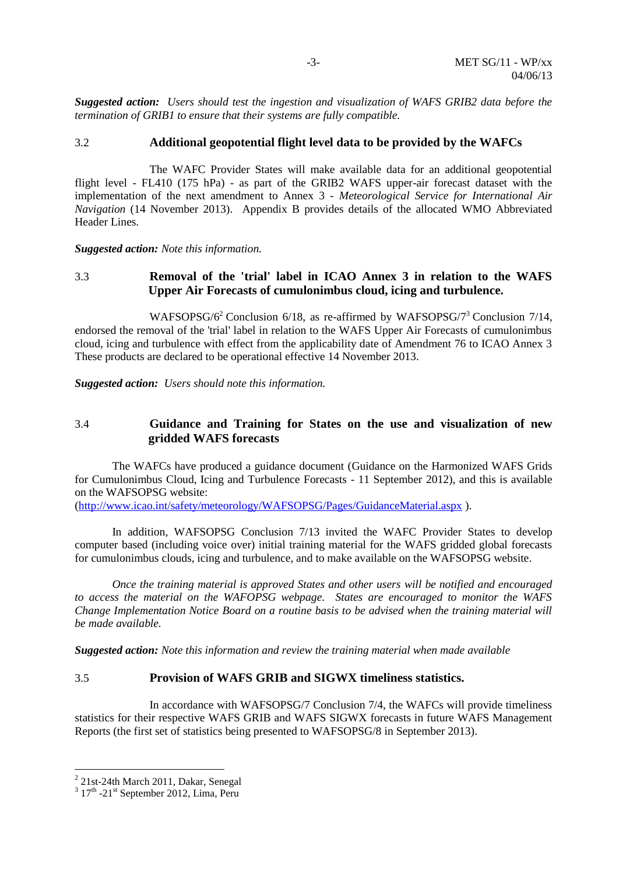*Suggested action: Users should test the ingestion and visualization of WAFS GRIB2 data before the termination of GRIB1 to ensure that their systems are fully compatible.*

#### 3.2 **Additional geopotential flight level data to be provided by the WAFCs**

The WAFC Provider States will make available data for an additional geopotential flight level - FL410 (175 hPa) - as part of the GRIB2 WAFS upper-air forecast dataset with the implementation of the next amendment to Annex 3 *- Meteorological Service for International Air Navigation* (14 November 2013). Appendix B provides details of the allocated WMO Abbreviated Header Lines.

*Suggested action: Note this information.*

## 3.3 **Removal of the 'trial' label in ICAO Annex 3 in relation to the WAFS Upper Air Forecasts of cumulonimbus cloud, icing and turbulence.**

WAFSOPSG/6<sup>2</sup> Conclusion 6/18, as re-affirmed by WAFSOPSG/7<sup>3</sup> Conclusion 7/14, endorsed the removal of the 'trial' label in relation to the WAFS Upper Air Forecasts of cumulonimbus cloud, icing and turbulence with effect from the applicability date of Amendment 76 to ICAO Annex 3 These products are declared to be operational effective 14 November 2013.

*Suggested action: Users should note this information.*

#### 3.4 **Guidance and Training for States on the use and visualization of new gridded WAFS forecasts**

The WAFCs have produced a guidance document (Guidance on the Harmonized WAFS Grids for Cumulonimbus Cloud, Icing and Turbulence Forecasts - 11 September 2012), and this is available on the WAFSOPSG website:

[\(http://www.icao.int/safety/meteorology/WAFSOPSG/Pages/GuidanceMaterial.aspx](http://www.icao.int/safety/meteorology/WAFSOPSG/Pages/GuidanceMaterial.aspx) ).

In addition, WAFSOPSG Conclusion 7/13 invited the WAFC Provider States to develop computer based (including voice over) initial training material for the WAFS gridded global forecasts for cumulonimbus clouds, icing and turbulence, and to make available on the WAFSOPSG website.

*Once the training material is approved States and other users will be notified and encouraged to access the material on the WAFOPSG webpage. States are encouraged to monitor the WAFS Change Implementation Notice Board on a routine basis to be advised when the training material will be made available.*

*Suggested action: Note this information and review the training material when made available*

#### 3.5 **Provision of WAFS GRIB and SIGWX timeliness statistics.**

In accordance with WAFSOPSG/7 Conclusion 7/4, the WAFCs will provide timeliness statistics for their respective WAFS GRIB and WAFS SIGWX forecasts in future WAFS Management Reports (the first set of statistics being presented to WAFSOPSG/8 in September 2013).

1

<sup>&</sup>lt;sup>2</sup> 21st-24th March 2011, Dakar, Senegal

 $3 \frac{17^{\text{th}} - 21^{\text{st}} \text{September}}{2012, \text{Lima}}$ , Peru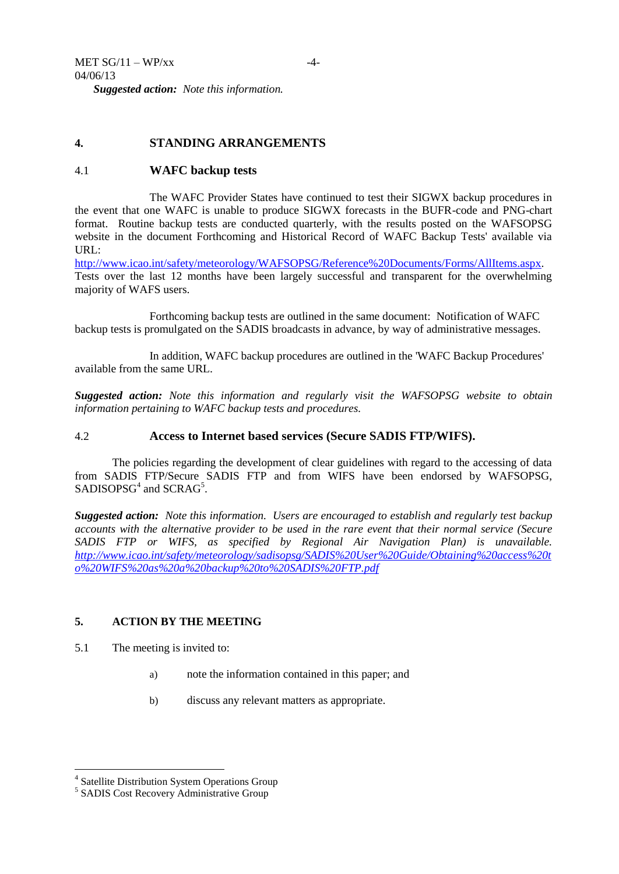## **4. STANDING ARRANGEMENTS**

#### 4.1 **WAFC backup tests**

The WAFC Provider States have continued to test their SIGWX backup procedures in the event that one WAFC is unable to produce SIGWX forecasts in the BUFR-code and PNG-chart format. Routine backup tests are conducted quarterly, with the results posted on the WAFSOPSG website in the document Forthcoming and Historical Record of WAFC Backup Tests' available via URL:

[http://www.icao.int/safety/meteorology/WAFSOPSG/Reference%20Documents/Forms/AllItems.aspx.](http://www.icao.int/safety/meteorology/WAFSOPSG/Reference%20Documents/Forms/AllItems.aspx) Tests over the last 12 months have been largely successful and transparent for the overwhelming majority of WAFS users.

Forthcoming backup tests are outlined in the same document: Notification of WAFC backup tests is promulgated on the SADIS broadcasts in advance, by way of administrative messages.

In addition, WAFC backup procedures are outlined in the 'WAFC Backup Procedures' available from the same URL.

*Suggested action: Note this information and regularly visit the WAFSOPSG website to obtain information pertaining to WAFC backup tests and procedures.*

#### 4.2 **Access to Internet based services (Secure SADIS FTP/WIFS).**

The policies regarding the development of clear guidelines with regard to the accessing of data from SADIS FTP/Secure SADIS FTP and from WIFS have been endorsed by WAFSOPSG, SADISOPSG<sup>4</sup> and SCRAG<sup>5</sup>.

*Suggested action: Note this information. Users are encouraged to establish and regularly test backup accounts with the alternative provider to be used in the rare event that their normal service (Secure SADIS FTP or WIFS, as specified by Regional Air Navigation Plan) is unavailable. [http://www.icao.int/safety/meteorology/sadisopsg/SADIS%20User%20Guide/Obtaining%20access%20t](http://www.icao.int/safety/meteorology/sadisopsg/SADIS%20User%20Guide/Obtaining%20access%20to%20WIFS%20as%20a%20backup%20to%20SADIS%20FTP.pdf) [o%20WIFS%20as%20a%20backup%20to%20SADIS%20FTP.pdf](http://www.icao.int/safety/meteorology/sadisopsg/SADIS%20User%20Guide/Obtaining%20access%20to%20WIFS%20as%20a%20backup%20to%20SADIS%20FTP.pdf)*

### **5. ACTION BY THE MEETING**

5.1 The meeting is invited to:

1

- a) note the information contained in this paper; and
- b) discuss any relevant matters as appropriate.

<sup>4</sup> Satellite Distribution System Operations Group

<sup>5</sup> SADIS Cost Recovery Administrative Group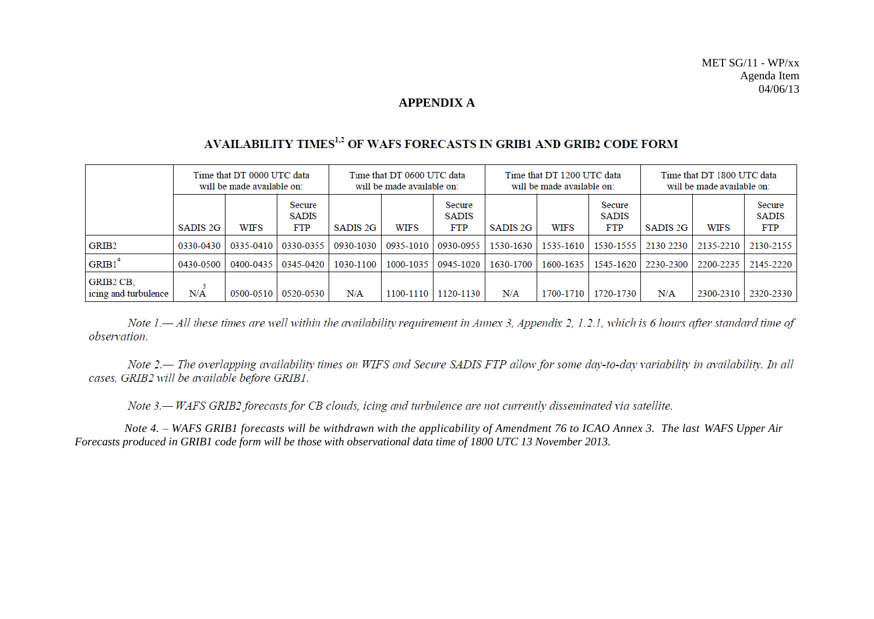### **APPENDIX A**

# AVAILABILITY TIMES<sup>1,2</sup> OF WAFS FORECASTS IN GRIB1 AND GRIB2 CODE FORM

|                                          | Time that DT 0000 UTC data<br>will be made available on: |             |                                      | Time that DT 0600 UTC data<br>will be made available on: |             |                               | Time that DT 1200 UTC data<br>will be made available on: |             |                                      | Time that DT 1800 UTC data<br>will be made available on: |             |                                      |
|------------------------------------------|----------------------------------------------------------|-------------|--------------------------------------|----------------------------------------------------------|-------------|-------------------------------|----------------------------------------------------------|-------------|--------------------------------------|----------------------------------------------------------|-------------|--------------------------------------|
|                                          | SADIS <sub>2G</sub>                                      | <b>WIFS</b> | Secure<br><b>SADIS</b><br><b>FTP</b> | SADIS <sub>2G</sub>                                      | <b>WIFS</b> | Secure<br><b>SADIS</b><br>FTP | SADIS <sub>2G</sub>                                      | <b>WIFS</b> | Secure<br><b>SADIS</b><br><b>FTP</b> | SADIS 2G                                                 | <b>WIFS</b> | Secure<br><b>SADIS</b><br><b>FTP</b> |
| GRIB <sub>2</sub>                        | 0330-0430                                                | 0335-0410   | 0330-0355                            | 0930-1030                                                | 0935-1010   | 0930-0955                     | 1530-1630                                                | 1535-1610   | 1530-1555                            | 2130 2230                                                | 2135-2210   | 2130-2155                            |
| GRIB1                                    | 0430-0500                                                | 0400-0435   | 0345-0420                            | 1030-1100                                                | 1000-1035   | 0945-1020                     | 1630-1700                                                | 1600-1635   | 1545-1620                            | 2230-2300                                                | 2200-2235   | 2145-2220                            |
| <b>GRIB2 CB.</b><br>icing and turbulence | N/A                                                      | 0500-0510   | 0520-0530                            | N/A                                                      | 1100-1110   | 1120-1130                     | N/A                                                      | 1700-1710   | 1720-1730                            | N/A                                                      | 2300-2310   | 2320-2330                            |

Note  $1$ — All these times are well within the availability requirement in Annex 3, Appendix 2, 1.2.1, which is 6 hours after standard time of observation.

Note 2.— The overlapping availability times on WIFS and Secure SADIS FTP allow for some day-to-day variability in availability. In all cases, GRIB2 will be available before GRIB1.

Note 3.— WAFS GRIB2 forecasts for CB clouds, icing and turbulence are not currently disseminated via satellite.

 *Note 4. – WAFS GRIB1 forecasts will be withdrawn with the applicability of Amendment 76 to ICAO Annex 3. The last WAFS Upper Air Forecasts produced in GRIB1 code form will be those with observational data time of 1800 UTC 13 November 2013.*